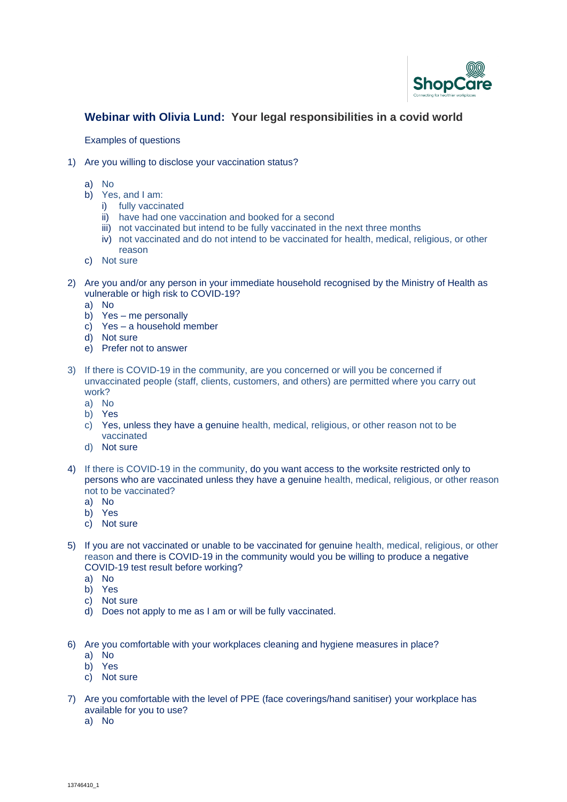

## **Webinar with Olivia Lund: Your legal responsibilities in a covid world**

Examples of questions

- 1) Are you willing to disclose your vaccination status?
	- a) No
	- b) Yes, and I am:
		- i) fully vaccinated
		- ii) have had one vaccination and booked for a second
		- iii) not vaccinated but intend to be fully vaccinated in the next three months
		- iv) not vaccinated and do not intend to be vaccinated for health, medical, religious, or other reason
	- c) Not sure
- 2) Are you and/or any person in your immediate household recognised by the Ministry of Health as vulnerable or high risk to COVID-19?
	- a) No
	- b) Yes me personally
	- c) Yes a household member
	- d) Not sure
	- e) Prefer not to answer
- 3) If there is COVID-19 in the community, are you concerned or will you be concerned if unvaccinated people (staff, clients, customers, and others) are permitted where you carry out work?
	- a) No
	- b) Yes
	- c) Yes, unless they have a genuine health, medical, religious, or other reason not to be vaccinated
	- d) Not sure
- 4) If there is COVID-19 in the community, do you want access to the worksite restricted only to persons who are vaccinated unless they have a genuine health, medical, religious, or other reason not to be vaccinated?
	- a) No
	- b) Yes
	- c) Not sure
- 5) If you are not vaccinated or unable to be vaccinated for genuine health, medical, religious, or other reason and there is COVID-19 in the community would you be willing to produce a negative COVID-19 test result before working?
	- a) No
	- b) Yes
	- c) Not sure
	- d) Does not apply to me as I am or will be fully vaccinated.
- 6) Are you comfortable with your workplaces cleaning and hygiene measures in place?
	- a) No
	- b) Yes
	- c) Not sure
- 7) Are you comfortable with the level of PPE (face coverings/hand sanitiser) your workplace has available for you to use?
	- a) No